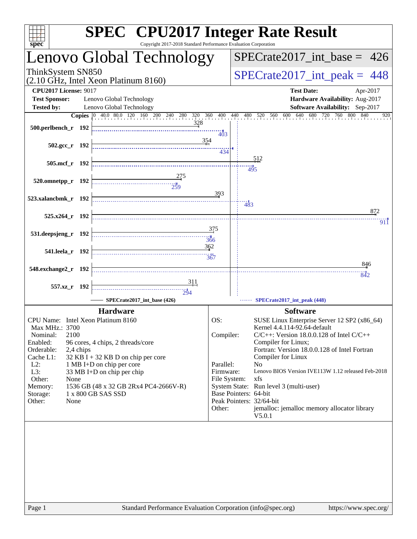| spec <sup>®</sup>                                                                                                                                 | Copyright 2017-2018 Standard Performance Evaluation Corporation | <b>SPEC<sup>®</sup></b> CPU2017 Integer Rate Result                          |
|---------------------------------------------------------------------------------------------------------------------------------------------------|-----------------------------------------------------------------|------------------------------------------------------------------------------|
| Lenovo Global Technology                                                                                                                          |                                                                 | $SPECrate2017\_int\_base = 426$                                              |
| ThinkSystem SN850<br>(2.10 GHz, Intel Xeon Platinum 8160)                                                                                         |                                                                 | $SPECrate2017\_int\_peak = 448$                                              |
| <b>CPU2017 License: 9017</b>                                                                                                                      |                                                                 | <b>Test Date:</b><br>Apr-2017                                                |
| Lenovo Global Technology<br><b>Test Sponsor:</b>                                                                                                  |                                                                 | Hardware Availability: Aug-2017                                              |
| <b>Tested by:</b><br>Lenovo Global Technology                                                                                                     |                                                                 | Software Availability: Sep-2017                                              |
| <b>Copies</b> $\begin{bmatrix} 0 & 40.0 & 80.0 & 120 & 160 & 200 & 240 & 280 & 320 & 360 & 400 & 440 & 480 & 520 & 560 & 600 & 640 \end{bmatrix}$ |                                                                 | 680 720 760 800<br>840<br>920                                                |
| 500.perlbench_r 192                                                                                                                               | 328<br>$\overline{403}$                                         |                                                                              |
| $502.\text{gcc r}$ 192                                                                                                                            | 354<br>434                                                      |                                                                              |
|                                                                                                                                                   |                                                                 | 512                                                                          |
| 505.mcf r 192                                                                                                                                     |                                                                 | 495                                                                          |
| 520.omnetpp_r 192                                                                                                                                 |                                                                 |                                                                              |
|                                                                                                                                                   | 393                                                             |                                                                              |
| 523.xalancbmk r 192                                                                                                                               |                                                                 | $\frac{11}{483}$<br>872                                                      |
| $525.x264$ r 192                                                                                                                                  |                                                                 | 911                                                                          |
|                                                                                                                                                   | <u>375</u>                                                      |                                                                              |
| 531.deepsjeng_r 192                                                                                                                               | 366                                                             |                                                                              |
| 541.leela r 192                                                                                                                                   | 362                                                             |                                                                              |
|                                                                                                                                                   |                                                                 |                                                                              |
| 548.exchange2_r 192                                                                                                                               |                                                                 | 846                                                                          |
|                                                                                                                                                   |                                                                 | $-842$                                                                       |
| 557.xz_r 192                                                                                                                                      | <u>311</u>                                                      |                                                                              |
| SPECrate2017_int_base (426)                                                                                                                       | $\frac{11}{294}$                                                | SPECrate2017_int_peak (448)                                                  |
|                                                                                                                                                   |                                                                 |                                                                              |
| <b>Hardware</b>                                                                                                                                   | OS:                                                             | <b>Software</b>                                                              |
| CPU Name: Intel Xeon Platinum 8160<br>Max MHz.: 3700                                                                                              |                                                                 | SUSE Linux Enterprise Server 12 SP2 (x86_64)<br>Kernel 4.4.114-92.64-default |
| 2100<br>Nominal:                                                                                                                                  | Compiler:                                                       | $C/C++$ : Version 18.0.0.128 of Intel $C/C++$                                |
| Enabled:<br>96 cores, 4 chips, 2 threads/core                                                                                                     |                                                                 | Compiler for Linux;                                                          |
| Orderable:<br>2,4 chips<br>Cache L1:<br>32 KB I + 32 KB D on chip per core                                                                        |                                                                 | Fortran: Version 18.0.0.128 of Intel Fortran<br>Compiler for Linux           |
| $L2$ :<br>1 MB I+D on chip per core                                                                                                               | Parallel:                                                       | N <sub>o</sub>                                                               |
| L3:<br>33 MB I+D on chip per chip                                                                                                                 | Firmware:                                                       | Lenovo BIOS Version IVE113W 1.12 released Feb-2018                           |
| Other:<br>None<br>1536 GB (48 x 32 GB 2Rx4 PC4-2666V-R)                                                                                           | File System:                                                    | xfs<br>System State: Run level 3 (multi-user)                                |
| Memory:<br>1 x 800 GB SAS SSD<br>Storage:                                                                                                         |                                                                 | Base Pointers: 64-bit                                                        |
| Other:<br>None                                                                                                                                    |                                                                 | Peak Pointers: 32/64-bit                                                     |
|                                                                                                                                                   | Other:                                                          | jemalloc: jemalloc memory allocator library                                  |
|                                                                                                                                                   |                                                                 | V5.0.1                                                                       |
|                                                                                                                                                   |                                                                 |                                                                              |
|                                                                                                                                                   |                                                                 |                                                                              |
|                                                                                                                                                   |                                                                 |                                                                              |
|                                                                                                                                                   |                                                                 |                                                                              |
|                                                                                                                                                   |                                                                 |                                                                              |
|                                                                                                                                                   |                                                                 |                                                                              |
|                                                                                                                                                   |                                                                 |                                                                              |
|                                                                                                                                                   |                                                                 |                                                                              |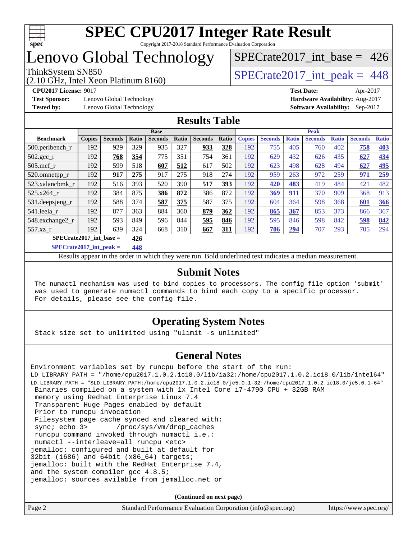

### Lenovo Global Technology

(2.10 GHz, Intel Xeon Platinum 8160)

**[Test Sponsor:](http://www.spec.org/auto/cpu2017/Docs/result-fields.html#TestSponsor)** Lenovo Global Technology **[Hardware Availability:](http://www.spec.org/auto/cpu2017/Docs/result-fields.html#HardwareAvailability)** Aug-2017

[SPECrate2017\\_int\\_base =](http://www.spec.org/auto/cpu2017/Docs/result-fields.html#SPECrate2017intbase) 426

ThinkSystem SN850<br>  $\angle Q$  10 GHz, Intel Year Platinum 8160)

**[CPU2017 License:](http://www.spec.org/auto/cpu2017/Docs/result-fields.html#CPU2017License)** 9017 **[Test Date:](http://www.spec.org/auto/cpu2017/Docs/result-fields.html#TestDate)** Apr-2017 **[Tested by:](http://www.spec.org/auto/cpu2017/Docs/result-fields.html#Testedby)** Lenovo Global Technology **[Software Availability:](http://www.spec.org/auto/cpu2017/Docs/result-fields.html#SoftwareAvailability)** Sep-2017

#### **[Results Table](http://www.spec.org/auto/cpu2017/Docs/result-fields.html#ResultsTable)**

|                           | <b>Base</b>   |                |                 |                | <b>Peak</b> |                |       |               |                |              |                |              |                |              |
|---------------------------|---------------|----------------|-----------------|----------------|-------------|----------------|-------|---------------|----------------|--------------|----------------|--------------|----------------|--------------|
| <b>Benchmark</b>          | <b>Copies</b> | <b>Seconds</b> | Ratio           | <b>Seconds</b> | Ratio       | <b>Seconds</b> | Ratio | <b>Copies</b> | <b>Seconds</b> | <b>Ratio</b> | <b>Seconds</b> | <b>Ratio</b> | <b>Seconds</b> | <b>Ratio</b> |
| $500.$ perlbench_r        | 192           | 929            | 329             | 935            | 327         | 933            | 328   | 192           | 755            | 405          | 760            | 402          | 758            | 403          |
| 502.gcc_r                 | 192           | 768            | 354             | 775            | 351         | 754            | 361   | 192           | 629            | 432          | 626            | 435          | 627            | 434          |
| $505$ .mcf r              | 192           | 599            | 518             | 607            | 512         | 617            | 502   | 192           | 623            | 498          | 628            | 494          | 627            | 495          |
| 520.omnetpp_r             | 192           | 917            | 275             | 917            | 275         | 918            | 274   | 192           | 959            | 263          | 972            | 259          | 971            | 259          |
| 523.xalancbmk_r           | 192           | 516            | 393             | 520            | 390         | 517            | 393   | 192           | 420            | 483          | 419            | 484          | 421            | 482          |
| 525.x264 r                | 192           | 384            | 875             | 386            | 872         | 386            | 872   | 192           | 369            | 911          | 370            | 909          | 368            | 913          |
| $531.$ deepsjeng $_r$     | 192           | 588            | 374             | 587            | 375         | 587            | 375   | 192           | 604            | 364          | 598            | 368          | 601            | 366          |
| 541.leela r               | 192           | 877            | 363             | 884            | 360         | 879            | 362   | 192           | 865            | 367          | 853            | 373          | 866            | 367          |
| 548.exchange2_r           | 192           | 593            | 849             | 596            | 844         | 595            | 846   | 192           | 595            | 846          | 598            | 842          | 598            | 842          |
| 557.xz r                  | 192           | 639            | 324             | 668            | 310         | 667            | 311   | 192           | 706            | 294          | 707            | 293          | 705            | 294          |
| $SPECrate2017$ int base = |               |                | 426             |                |             |                |       |               |                |              |                |              |                |              |
|                           |               |                | $\overline{AB}$ |                |             |                |       |               |                |              |                |              |                |              |

**[SPECrate2017\\_int\\_peak =](http://www.spec.org/auto/cpu2017/Docs/result-fields.html#SPECrate2017intpeak) 448**

Results appear in the [order in which they were run](http://www.spec.org/auto/cpu2017/Docs/result-fields.html#RunOrder). Bold underlined text [indicates a median measurement](http://www.spec.org/auto/cpu2017/Docs/result-fields.html#Median).

#### **[Submit Notes](http://www.spec.org/auto/cpu2017/Docs/result-fields.html#SubmitNotes)**

 The numactl mechanism was used to bind copies to processors. The config file option 'submit' was used to generate numactl commands to bind each copy to a specific processor. For details, please see the config file.

#### **[Operating System Notes](http://www.spec.org/auto/cpu2017/Docs/result-fields.html#OperatingSystemNotes)**

Stack size set to unlimited using "ulimit -s unlimited"

#### **[General Notes](http://www.spec.org/auto/cpu2017/Docs/result-fields.html#GeneralNotes)**

Environment variables set by runcpu before the start of the run: LD\_LIBRARY\_PATH = "/home/cpu2017.1.0.2.ic18.0/lib/ia32:/home/cpu2017.1.0.2.ic18.0/lib/intel64" LD\_LIBRARY\_PATH = "\$LD\_LIBRARY\_PATH:/home/cpu2017.1.0.2.ic18.0/je5.0.1-32:/home/cpu2017.1.0.2.ic18.0/je5.0.1-64" Binaries compiled on a system with 1x Intel Core i7-4790 CPU + 32GB RAM memory using Redhat Enterprise Linux 7.4 Transparent Huge Pages enabled by default Prior to runcpu invocation Filesystem page cache synced and cleared with: sync; echo 3> /proc/sys/vm/drop\_caches runcpu command invoked through numactl i.e.: numactl --interleave=all runcpu <etc> jemalloc: configured and built at default for 32bit (i686) and 64bit (x86\_64) targets; jemalloc: built with the RedHat Enterprise 7.4, and the system compiler gcc 4.8.5; jemalloc: sources avilable from jemalloc.net or

**(Continued on next page)**

| Page 2 | Standard Performance Evaluation Corporation (info@spec.org) | https://www.spec.org/ |
|--------|-------------------------------------------------------------|-----------------------|
|        |                                                             |                       |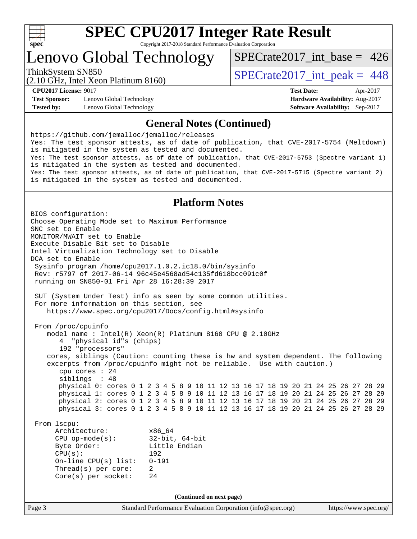

# **[SPEC CPU2017 Integer Rate Result](http://www.spec.org/auto/cpu2017/Docs/result-fields.html#SPECCPU2017IntegerRateResult)**

Copyright 2017-2018 Standard Performance Evaluation Corporation

### Lenovo Global Technology

[SPECrate2017\\_int\\_base =](http://www.spec.org/auto/cpu2017/Docs/result-fields.html#SPECrate2017intbase) 426

(2.10 GHz, Intel Xeon Platinum 8160)

ThinkSystem SN850<br>  $\angle (2.10 \text{ GHz. Intel Yoon Plotinum } 8160)$   $\angle$  [SPECrate2017\\_int\\_peak =](http://www.spec.org/auto/cpu2017/Docs/result-fields.html#SPECrate2017intpeak) 448

**[Test Sponsor:](http://www.spec.org/auto/cpu2017/Docs/result-fields.html#TestSponsor)** Lenovo Global Technology **[Hardware Availability:](http://www.spec.org/auto/cpu2017/Docs/result-fields.html#HardwareAvailability)** Aug-2017 **[Tested by:](http://www.spec.org/auto/cpu2017/Docs/result-fields.html#Testedby)** Lenovo Global Technology **[Software Availability:](http://www.spec.org/auto/cpu2017/Docs/result-fields.html#SoftwareAvailability)** Sep-2017

**[CPU2017 License:](http://www.spec.org/auto/cpu2017/Docs/result-fields.html#CPU2017License)** 9017 **[Test Date:](http://www.spec.org/auto/cpu2017/Docs/result-fields.html#TestDate)** Apr-2017

#### **[General Notes \(Continued\)](http://www.spec.org/auto/cpu2017/Docs/result-fields.html#GeneralNotes)**

<https://github.com/jemalloc/jemalloc/releases> Yes: The test sponsor attests, as of date of publication, that CVE-2017-5754 (Meltdown) is mitigated in the system as tested and documented. Yes: The test sponsor attests, as of date of publication, that CVE-2017-5753 (Spectre variant 1) is mitigated in the system as tested and documented. Yes: The test sponsor attests, as of date of publication, that CVE-2017-5715 (Spectre variant 2) is mitigated in the system as tested and documented.

#### **[Platform Notes](http://www.spec.org/auto/cpu2017/Docs/result-fields.html#PlatformNotes)**

Page 3 Standard Performance Evaluation Corporation [\(info@spec.org\)](mailto:info@spec.org) <https://www.spec.org/> BIOS configuration: Choose Operating Mode set to Maximum Performance SNC set to Enable MONITOR/MWAIT set to Enable Execute Disable Bit set to Disable Intel Virtualization Technology set to Disable DCA set to Enable Sysinfo program /home/cpu2017.1.0.2.ic18.0/bin/sysinfo Rev: r5797 of 2017-06-14 96c45e4568ad54c135fd618bcc091c0f running on SN850-01 Fri Apr 28 16:28:39 2017 SUT (System Under Test) info as seen by some common utilities. For more information on this section, see <https://www.spec.org/cpu2017/Docs/config.html#sysinfo> From /proc/cpuinfo model name : Intel(R) Xeon(R) Platinum 8160 CPU @ 2.10GHz 4 "physical id"s (chips) 192 "processors" cores, siblings (Caution: counting these is hw and system dependent. The following excerpts from /proc/cpuinfo might not be reliable. Use with caution.) cpu cores : 24 siblings : 48 physical 0: cores 0 1 2 3 4 5 8 9 10 11 12 13 16 17 18 19 20 21 24 25 26 27 28 29 physical 1: cores 0 1 2 3 4 5 8 9 10 11 12 13 16 17 18 19 20 21 24 25 26 27 28 29 physical 2: cores 0 1 2 3 4 5 8 9 10 11 12 13 16 17 18 19 20 21 24 25 26 27 28 29 physical 3: cores 0 1 2 3 4 5 8 9 10 11 12 13 16 17 18 19 20 21 24 25 26 27 28 29 From lscpu: Architecture: x86\_64 CPU op-mode(s): 32-bit, 64-bit Byte Order: Little Endian CPU(s): 192 On-line CPU(s) list: 0-191 Thread(s) per core: 2 Core(s) per socket: 24 **(Continued on next page)**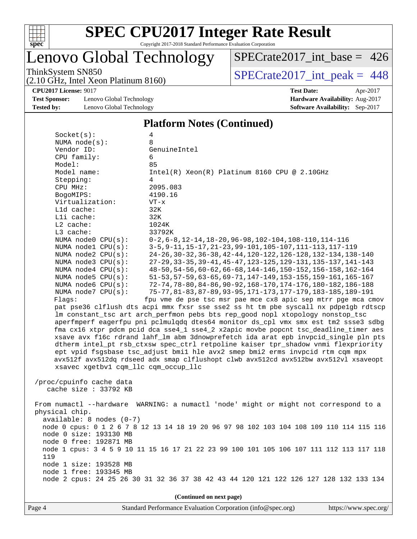

### Lenovo Global Technology

[SPECrate2017\\_int\\_base =](http://www.spec.org/auto/cpu2017/Docs/result-fields.html#SPECrate2017intbase) 426

(2.10 GHz, Intel Xeon Platinum 8160)

ThinkSystem SN850<br>  $(2.10 \text{ GHz})$  Intel Xeon Platinum 8160)

**[CPU2017 License:](http://www.spec.org/auto/cpu2017/Docs/result-fields.html#CPU2017License)** 9017 **[Test Date:](http://www.spec.org/auto/cpu2017/Docs/result-fields.html#TestDate)** Apr-2017

**[Test Sponsor:](http://www.spec.org/auto/cpu2017/Docs/result-fields.html#TestSponsor)** Lenovo Global Technology **[Hardware Availability:](http://www.spec.org/auto/cpu2017/Docs/result-fields.html#HardwareAvailability)** Aug-2017 **[Tested by:](http://www.spec.org/auto/cpu2017/Docs/result-fields.html#Testedby)** Lenovo Global Technology **[Software Availability:](http://www.spec.org/auto/cpu2017/Docs/result-fields.html#SoftwareAvailability)** Sep-2017

## **[Platform Notes \(Continued\)](http://www.spec.org/auto/cpu2017/Docs/result-fields.html#PlatformNotes)**

|                                      | $\blacksquare$ ratio $\blacksquare$                                                                                                                                 |  |  |  |  |
|--------------------------------------|---------------------------------------------------------------------------------------------------------------------------------------------------------------------|--|--|--|--|
| Socket(s):                           | 4                                                                                                                                                                   |  |  |  |  |
| NUMA $node(s):$                      | 8                                                                                                                                                                   |  |  |  |  |
| Vendor ID:                           | GenuineIntel                                                                                                                                                        |  |  |  |  |
| CPU family:                          | 6                                                                                                                                                                   |  |  |  |  |
| Model:                               | 85                                                                                                                                                                  |  |  |  |  |
| Model name:                          | $Intel(R)$ Xeon $(R)$ Platinum 8160 CPU @ 2.10GHz                                                                                                                   |  |  |  |  |
| Stepping:                            | 4                                                                                                                                                                   |  |  |  |  |
| CPU MHz:                             | 2095.083                                                                                                                                                            |  |  |  |  |
| BogoMIPS:                            | 4190.16                                                                                                                                                             |  |  |  |  |
| Virtualization:                      | $VT - x$                                                                                                                                                            |  |  |  |  |
| L1d cache:                           | 32K                                                                                                                                                                 |  |  |  |  |
| Lli cache:                           | 32K                                                                                                                                                                 |  |  |  |  |
| L2 cache:                            | 1024K                                                                                                                                                               |  |  |  |  |
| L3 cache:                            | 33792K                                                                                                                                                              |  |  |  |  |
| NUMA node0 CPU(s):                   | $0-2, 6-8, 12-14, 18-20, 96-98, 102-104, 108-110, 114-116$                                                                                                          |  |  |  |  |
| NUMA nodel CPU(s):                   | 3-5, 9-11, 15-17, 21-23, 99-101, 105-107, 111-113, 117-119                                                                                                          |  |  |  |  |
| NUMA node2 CPU(s):                   | 24-26, 30-32, 36-38, 42-44, 120-122, 126-128, 132-134, 138-140                                                                                                      |  |  |  |  |
| NUMA node3 CPU(s):                   | 27-29, 33-35, 39-41, 45-47, 123-125, 129-131, 135-137, 141-143                                                                                                      |  |  |  |  |
| NUMA node4 CPU(s):                   | 48-50, 54-56, 60-62, 66-68, 144-146, 150-152, 156-158, 162-164                                                                                                      |  |  |  |  |
| NUMA $node5$ $CPU(s):$               | 51-53, 57-59, 63-65, 69-71, 147-149, 153-155, 159-161, 165-167                                                                                                      |  |  |  |  |
| NUMA node6 CPU(s):                   | 72-74, 78-80, 84-86, 90-92, 168-170, 174-176, 180-182, 186-188                                                                                                      |  |  |  |  |
| NUMA node7 CPU(s):                   | 75-77, 81-83, 87-89, 93-95, 171-173, 177-179, 183-185, 189-191                                                                                                      |  |  |  |  |
| Flags:                               | fpu vme de pse tsc msr pae mce cx8 apic sep mtrr pge mca cmov                                                                                                       |  |  |  |  |
|                                      | pat pse36 clflush dts acpi mmx fxsr sse sse2 ss ht tm pbe syscall nx pdpelgb rdtscp                                                                                 |  |  |  |  |
|                                      | lm constant_tsc art arch_perfmon pebs bts rep_good nopl xtopology nonstop_tsc<br>aperfmperf eagerfpu pni pclmulqdq dtes64 monitor ds_cpl vmx smx est tm2 ssse3 sdbg |  |  |  |  |
|                                      | fma cx16 xtpr pdcm pcid dca sse4_1 sse4_2 x2apic movbe popcnt tsc_deadline_timer aes                                                                                |  |  |  |  |
|                                      | xsave avx f16c rdrand lahf_lm abm 3dnowprefetch ida arat epb invpcid_single pln pts                                                                                 |  |  |  |  |
|                                      | dtherm intel_pt rsb_ctxsw spec_ctrl retpoline kaiser tpr_shadow vnmi flexpriority                                                                                   |  |  |  |  |
|                                      | ept vpid fsgsbase tsc_adjust bmil hle avx2 smep bmi2 erms invpcid rtm cqm mpx                                                                                       |  |  |  |  |
|                                      | avx512f avx512dq rdseed adx smap clflushopt clwb avx512cd avx512bw avx512vl xsaveopt                                                                                |  |  |  |  |
| xsavec xgetbvl cqm_llc cqm_occup_llc |                                                                                                                                                                     |  |  |  |  |
|                                      |                                                                                                                                                                     |  |  |  |  |
| /proc/cpuinfo cache data             |                                                                                                                                                                     |  |  |  |  |
| cache size : 33792 KB                |                                                                                                                                                                     |  |  |  |  |
|                                      |                                                                                                                                                                     |  |  |  |  |
|                                      | From numactl --hardware WARNING: a numactl 'node' might or might not correspond to a                                                                                |  |  |  |  |
| physical chip.                       |                                                                                                                                                                     |  |  |  |  |
| $available: 8 nodes (0-7)$           |                                                                                                                                                                     |  |  |  |  |
|                                      | node 0 cpus: 0 1 2 6 7 8 12 13 14 18 19 20 96 97 98 102 103 104 108 109 110 114 115 116                                                                             |  |  |  |  |
| node 0 size: 193130 MB               |                                                                                                                                                                     |  |  |  |  |
| node 0 free: 192871 MB               |                                                                                                                                                                     |  |  |  |  |
|                                      | node 1 cpus: 3 4 5 9 10 11 15 16 17 21 22 23 99 100 101 105 106 107 111 112 113 117 118                                                                             |  |  |  |  |
| 119                                  |                                                                                                                                                                     |  |  |  |  |
| node 1 size: 193528 MB               |                                                                                                                                                                     |  |  |  |  |
| node 1 free: 193345 MB               |                                                                                                                                                                     |  |  |  |  |
|                                      | node 2 cpus: 24 25 26 30 31 32 36 37 38 42 43 44 120 121 122 126 127 128 132 133 134                                                                                |  |  |  |  |
|                                      |                                                                                                                                                                     |  |  |  |  |
| (Continued on next page)             |                                                                                                                                                                     |  |  |  |  |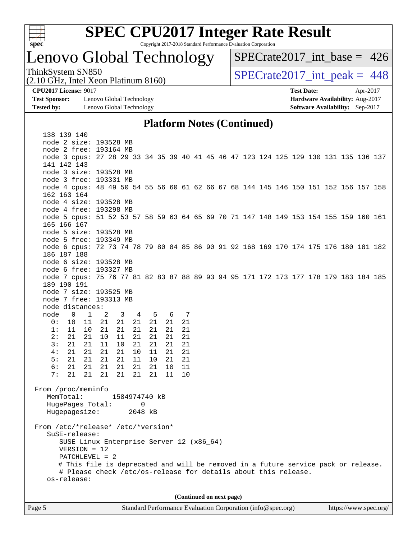

# **[SPEC CPU2017 Integer Rate Result](http://www.spec.org/auto/cpu2017/Docs/result-fields.html#SPECCPU2017IntegerRateResult)**

Copyright 2017-2018 Standard Performance Evaluation Corporation

### Lenovo Global Technology

 $SPECrate2017\_int\_base = 426$ 

(2.10 GHz, Intel Xeon Platinum 8160) ThinkSystem SN850<br>  $\angle Q$  10 GHz, Intel Year Platinum 8160)

**[Test Sponsor:](http://www.spec.org/auto/cpu2017/Docs/result-fields.html#TestSponsor)** Lenovo Global Technology **[Hardware Availability:](http://www.spec.org/auto/cpu2017/Docs/result-fields.html#HardwareAvailability)** Aug-2017 **[Tested by:](http://www.spec.org/auto/cpu2017/Docs/result-fields.html#Testedby)** Lenovo Global Technology **[Software Availability:](http://www.spec.org/auto/cpu2017/Docs/result-fields.html#SoftwareAvailability)** Sep-2017

**[CPU2017 License:](http://www.spec.org/auto/cpu2017/Docs/result-fields.html#CPU2017License)** 9017 **[Test Date:](http://www.spec.org/auto/cpu2017/Docs/result-fields.html#TestDate)** Apr-2017

**[Platform Notes \(Continued\)](http://www.spec.org/auto/cpu2017/Docs/result-fields.html#PlatformNotes)**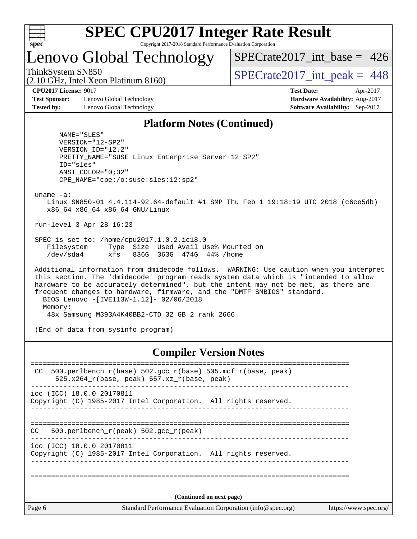

# **[SPEC CPU2017 Integer Rate Result](http://www.spec.org/auto/cpu2017/Docs/result-fields.html#SPECCPU2017IntegerRateResult)**

Copyright 2017-2018 Standard Performance Evaluation Corporation

### Lenovo Global Technology

 $SPECTate2017\_int\_base = 426$ 

(2.10 GHz, Intel Xeon Platinum 8160) ThinkSystem SN850<br>  $\frac{1}{2}$  [SPECrate2017\\_int\\_peak =](http://www.spec.org/auto/cpu2017/Docs/result-fields.html#SPECrate2017intpeak) 448

**[Test Sponsor:](http://www.spec.org/auto/cpu2017/Docs/result-fields.html#TestSponsor)** Lenovo Global Technology **[Hardware Availability:](http://www.spec.org/auto/cpu2017/Docs/result-fields.html#HardwareAvailability)** Aug-2017 **[Tested by:](http://www.spec.org/auto/cpu2017/Docs/result-fields.html#Testedby)** Lenovo Global Technology **[Software Availability:](http://www.spec.org/auto/cpu2017/Docs/result-fields.html#SoftwareAvailability)** Sep-2017

**[CPU2017 License:](http://www.spec.org/auto/cpu2017/Docs/result-fields.html#CPU2017License)** 9017 **[Test Date:](http://www.spec.org/auto/cpu2017/Docs/result-fields.html#TestDate)** Apr-2017

#### **[Platform Notes \(Continued\)](http://www.spec.org/auto/cpu2017/Docs/result-fields.html#PlatformNotes)**

 NAME="SLES" VERSION="12-SP2" VERSION\_ID="12.2" PRETTY\_NAME="SUSE Linux Enterprise Server 12 SP2" ID="sles" ANSI\_COLOR="0;32" CPE\_NAME="cpe:/o:suse:sles:12:sp2"

uname -a:

 Linux SN850-01 4.4.114-92.64-default #1 SMP Thu Feb 1 19:18:19 UTC 2018 (c6ce5db) x86\_64 x86\_64 x86\_64 GNU/Linux

run-level 3 Apr 28 16:23

 SPEC is set to: /home/cpu2017.1.0.2.ic18.0 Filesystem Type Size Used Avail Use% Mounted on /dev/sda4 xfs 836G 363G 474G 44% /home

 Additional information from dmidecode follows. WARNING: Use caution when you interpret this section. The 'dmidecode' program reads system data which is "intended to allow hardware to be accurately determined", but the intent may not be met, as there are frequent changes to hardware, firmware, and the "DMTF SMBIOS" standard. BIOS Lenovo -[IVE113W-1.12]- 02/06/2018 Memory: 48x Samsung M393A4K40BB2-CTD 32 GB 2 rank 2666

(End of data from sysinfo program)

#### **[Compiler Version Notes](http://www.spec.org/auto/cpu2017/Docs/result-fields.html#CompilerVersionNotes)**

| 500.perlbench $r(base)$ 502.qcc $r(base)$ 505.mcf $r(base, peak)$<br>CC<br>525.x264_r(base, peak) 557.xz_r(base, peak) |                             |  |  |  |
|------------------------------------------------------------------------------------------------------------------------|-----------------------------|--|--|--|
| icc (ICC) 18.0.0 20170811<br>Copyright (C) 1985-2017 Intel Corporation. All rights reserved.                           |                             |  |  |  |
| 500.perlbench_r(peak) 502.gcc_r(peak)<br>CC.                                                                           | ___________________________ |  |  |  |
| icc (ICC) 18.0.0 20170811<br>Copyright (C) 1985-2017 Intel Corporation. All rights reserved.                           |                             |  |  |  |
|                                                                                                                        |                             |  |  |  |
| (Continued on next page)                                                                                               |                             |  |  |  |
| Page 6<br>Standard Performance Evaluation Corporation (info@spec.org)                                                  | https://www.spec.org/       |  |  |  |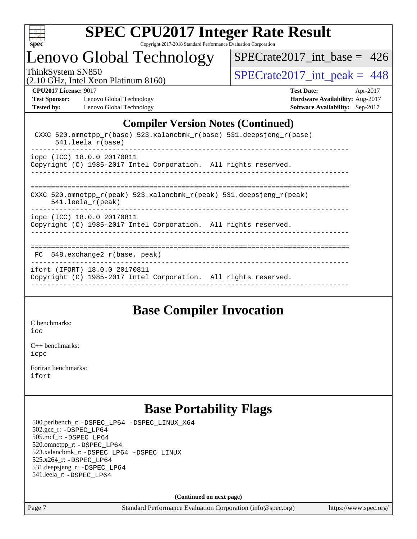

### Lenovo Global Technology

[SPECrate2017\\_int\\_base =](http://www.spec.org/auto/cpu2017/Docs/result-fields.html#SPECrate2017intbase) 426

(2.10 GHz, Intel Xeon Platinum 8160)

ThinkSystem SN850<br>(2.10 GHz, Intel Xeon Platinum 8160)  $\text{SPECrate2017\_int\_peak} = 448$ 

**[Test Sponsor:](http://www.spec.org/auto/cpu2017/Docs/result-fields.html#TestSponsor)** Lenovo Global Technology **[Hardware Availability:](http://www.spec.org/auto/cpu2017/Docs/result-fields.html#HardwareAvailability)** Aug-2017 **[Tested by:](http://www.spec.org/auto/cpu2017/Docs/result-fields.html#Testedby)** Lenovo Global Technology **[Software Availability:](http://www.spec.org/auto/cpu2017/Docs/result-fields.html#SoftwareAvailability)** Sep-2017

**[CPU2017 License:](http://www.spec.org/auto/cpu2017/Docs/result-fields.html#CPU2017License)** 9017 **[Test Date:](http://www.spec.org/auto/cpu2017/Docs/result-fields.html#TestDate)** Apr-2017

#### **[Compiler Version Notes \(Continued\)](http://www.spec.org/auto/cpu2017/Docs/result-fields.html#CompilerVersionNotes)**

| CXXC 520.omnetpp $r(base)$ 523.xalancbmk $r(base)$ 531.deepsjeng $r(base)$<br>$541.$ leela r(base)            |
|---------------------------------------------------------------------------------------------------------------|
| icpc (ICC) 18.0.0 20170811<br>Copyright (C) 1985-2017 Intel Corporation. All rights reserved.<br>------------ |
| CXXC 520.omnetpp_r(peak) 523.xalancbmk_r(peak) 531.deepsjeng_r(peak)<br>$541.$ leela_r(peak)                  |
| icpc (ICC) 18.0.0 20170811<br>Copyright (C) 1985-2017 Intel Corporation. All rights reserved.                 |
| $FC$ 548. exchange2 $r(base, peak)$                                                                           |
| ifort (IFORT) 18.0.0 20170811<br>Copyright (C) 1985-2017 Intel Corporation. All rights reserved.              |

#### **[Base Compiler Invocation](http://www.spec.org/auto/cpu2017/Docs/result-fields.html#BaseCompilerInvocation)**

[C benchmarks](http://www.spec.org/auto/cpu2017/Docs/result-fields.html#Cbenchmarks): [icc](http://www.spec.org/cpu2017/results/res2018q2/cpu2017-20180511-05418.flags.html#user_CCbase_intel_icc_18.0_66fc1ee009f7361af1fbd72ca7dcefbb700085f36577c54f309893dd4ec40d12360134090235512931783d35fd58c0460139e722d5067c5574d8eaf2b3e37e92)

[C++ benchmarks:](http://www.spec.org/auto/cpu2017/Docs/result-fields.html#CXXbenchmarks) [icpc](http://www.spec.org/cpu2017/results/res2018q2/cpu2017-20180511-05418.flags.html#user_CXXbase_intel_icpc_18.0_c510b6838c7f56d33e37e94d029a35b4a7bccf4766a728ee175e80a419847e808290a9b78be685c44ab727ea267ec2f070ec5dc83b407c0218cded6866a35d07)

[Fortran benchmarks](http://www.spec.org/auto/cpu2017/Docs/result-fields.html#Fortranbenchmarks): [ifort](http://www.spec.org/cpu2017/results/res2018q2/cpu2017-20180511-05418.flags.html#user_FCbase_intel_ifort_18.0_8111460550e3ca792625aed983ce982f94888b8b503583aa7ba2b8303487b4d8a21a13e7191a45c5fd58ff318f48f9492884d4413fa793fd88dd292cad7027ca)

### **[Base Portability Flags](http://www.spec.org/auto/cpu2017/Docs/result-fields.html#BasePortabilityFlags)**

 500.perlbench\_r: [-DSPEC\\_LP64](http://www.spec.org/cpu2017/results/res2018q2/cpu2017-20180511-05418.flags.html#b500.perlbench_r_basePORTABILITY_DSPEC_LP64) [-DSPEC\\_LINUX\\_X64](http://www.spec.org/cpu2017/results/res2018q2/cpu2017-20180511-05418.flags.html#b500.perlbench_r_baseCPORTABILITY_DSPEC_LINUX_X64) 502.gcc\_r: [-DSPEC\\_LP64](http://www.spec.org/cpu2017/results/res2018q2/cpu2017-20180511-05418.flags.html#suite_basePORTABILITY502_gcc_r_DSPEC_LP64) 505.mcf\_r: [-DSPEC\\_LP64](http://www.spec.org/cpu2017/results/res2018q2/cpu2017-20180511-05418.flags.html#suite_basePORTABILITY505_mcf_r_DSPEC_LP64) 520.omnetpp\_r: [-DSPEC\\_LP64](http://www.spec.org/cpu2017/results/res2018q2/cpu2017-20180511-05418.flags.html#suite_basePORTABILITY520_omnetpp_r_DSPEC_LP64) 523.xalancbmk\_r: [-DSPEC\\_LP64](http://www.spec.org/cpu2017/results/res2018q2/cpu2017-20180511-05418.flags.html#suite_basePORTABILITY523_xalancbmk_r_DSPEC_LP64) [-DSPEC\\_LINUX](http://www.spec.org/cpu2017/results/res2018q2/cpu2017-20180511-05418.flags.html#b523.xalancbmk_r_baseCXXPORTABILITY_DSPEC_LINUX) 525.x264\_r: [-DSPEC\\_LP64](http://www.spec.org/cpu2017/results/res2018q2/cpu2017-20180511-05418.flags.html#suite_basePORTABILITY525_x264_r_DSPEC_LP64) 531.deepsjeng\_r: [-DSPEC\\_LP64](http://www.spec.org/cpu2017/results/res2018q2/cpu2017-20180511-05418.flags.html#suite_basePORTABILITY531_deepsjeng_r_DSPEC_LP64) 541.leela\_r: [-DSPEC\\_LP64](http://www.spec.org/cpu2017/results/res2018q2/cpu2017-20180511-05418.flags.html#suite_basePORTABILITY541_leela_r_DSPEC_LP64)

**(Continued on next page)**

Page 7 Standard Performance Evaluation Corporation [\(info@spec.org\)](mailto:info@spec.org) <https://www.spec.org/>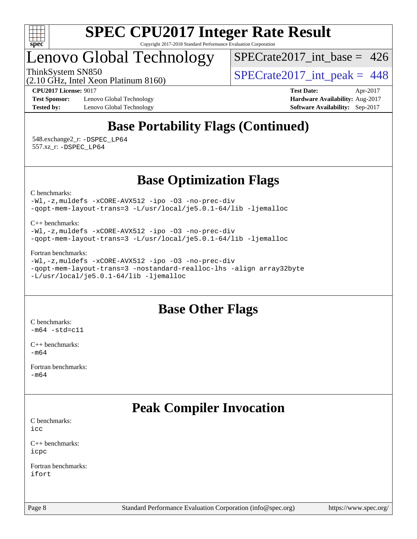

### Lenovo Global Technology

[SPECrate2017\\_int\\_base =](http://www.spec.org/auto/cpu2017/Docs/result-fields.html#SPECrate2017intbase) 426

(2.10 GHz, Intel Xeon Platinum 8160)

ThinkSystem SN850<br>(2.10 GHz, Intel Yean Platinum 8160)  $\text{SPECrate2017\_int\_peak} = 448$ 

**[Test Sponsor:](http://www.spec.org/auto/cpu2017/Docs/result-fields.html#TestSponsor)** Lenovo Global Technology **[Hardware Availability:](http://www.spec.org/auto/cpu2017/Docs/result-fields.html#HardwareAvailability)** Aug-2017 **[Tested by:](http://www.spec.org/auto/cpu2017/Docs/result-fields.html#Testedby)** Lenovo Global Technology **[Software Availability:](http://www.spec.org/auto/cpu2017/Docs/result-fields.html#SoftwareAvailability)** Sep-2017

**[CPU2017 License:](http://www.spec.org/auto/cpu2017/Docs/result-fields.html#CPU2017License)** 9017 **[Test Date:](http://www.spec.org/auto/cpu2017/Docs/result-fields.html#TestDate)** Apr-2017

### **[Base Portability Flags \(Continued\)](http://www.spec.org/auto/cpu2017/Docs/result-fields.html#BasePortabilityFlags)**

 548.exchange2\_r: [-DSPEC\\_LP64](http://www.spec.org/cpu2017/results/res2018q2/cpu2017-20180511-05418.flags.html#suite_basePORTABILITY548_exchange2_r_DSPEC_LP64) 557.xz\_r: [-DSPEC\\_LP64](http://www.spec.org/cpu2017/results/res2018q2/cpu2017-20180511-05418.flags.html#suite_basePORTABILITY557_xz_r_DSPEC_LP64)

#### **[Base Optimization Flags](http://www.spec.org/auto/cpu2017/Docs/result-fields.html#BaseOptimizationFlags)**

[C benchmarks](http://www.spec.org/auto/cpu2017/Docs/result-fields.html#Cbenchmarks):

[-Wl,-z,muldefs](http://www.spec.org/cpu2017/results/res2018q2/cpu2017-20180511-05418.flags.html#user_CCbase_link_force_multiple1_b4cbdb97b34bdee9ceefcfe54f4c8ea74255f0b02a4b23e853cdb0e18eb4525ac79b5a88067c842dd0ee6996c24547a27a4b99331201badda8798ef8a743f577) [-xCORE-AVX512](http://www.spec.org/cpu2017/results/res2018q2/cpu2017-20180511-05418.flags.html#user_CCbase_f-xCORE-AVX512) [-ipo](http://www.spec.org/cpu2017/results/res2018q2/cpu2017-20180511-05418.flags.html#user_CCbase_f-ipo) [-O3](http://www.spec.org/cpu2017/results/res2018q2/cpu2017-20180511-05418.flags.html#user_CCbase_f-O3) [-no-prec-div](http://www.spec.org/cpu2017/results/res2018q2/cpu2017-20180511-05418.flags.html#user_CCbase_f-no-prec-div) [-qopt-mem-layout-trans=3](http://www.spec.org/cpu2017/results/res2018q2/cpu2017-20180511-05418.flags.html#user_CCbase_f-qopt-mem-layout-trans_de80db37974c74b1f0e20d883f0b675c88c3b01e9d123adea9b28688d64333345fb62bc4a798493513fdb68f60282f9a726aa07f478b2f7113531aecce732043) [-L/usr/local/je5.0.1-64/lib](http://www.spec.org/cpu2017/results/res2018q2/cpu2017-20180511-05418.flags.html#user_CCbase_jemalloc_link_path64_4b10a636b7bce113509b17f3bd0d6226c5fb2346b9178c2d0232c14f04ab830f976640479e5c33dc2bcbbdad86ecfb6634cbbd4418746f06f368b512fced5394) [-ljemalloc](http://www.spec.org/cpu2017/results/res2018q2/cpu2017-20180511-05418.flags.html#user_CCbase_jemalloc_link_lib_d1249b907c500fa1c0672f44f562e3d0f79738ae9e3c4a9c376d49f265a04b9c99b167ecedbf6711b3085be911c67ff61f150a17b3472be731631ba4d0471706)

[C++ benchmarks:](http://www.spec.org/auto/cpu2017/Docs/result-fields.html#CXXbenchmarks)

[-Wl,-z,muldefs](http://www.spec.org/cpu2017/results/res2018q2/cpu2017-20180511-05418.flags.html#user_CXXbase_link_force_multiple1_b4cbdb97b34bdee9ceefcfe54f4c8ea74255f0b02a4b23e853cdb0e18eb4525ac79b5a88067c842dd0ee6996c24547a27a4b99331201badda8798ef8a743f577) [-xCORE-AVX512](http://www.spec.org/cpu2017/results/res2018q2/cpu2017-20180511-05418.flags.html#user_CXXbase_f-xCORE-AVX512) [-ipo](http://www.spec.org/cpu2017/results/res2018q2/cpu2017-20180511-05418.flags.html#user_CXXbase_f-ipo) [-O3](http://www.spec.org/cpu2017/results/res2018q2/cpu2017-20180511-05418.flags.html#user_CXXbase_f-O3) [-no-prec-div](http://www.spec.org/cpu2017/results/res2018q2/cpu2017-20180511-05418.flags.html#user_CXXbase_f-no-prec-div) [-qopt-mem-layout-trans=3](http://www.spec.org/cpu2017/results/res2018q2/cpu2017-20180511-05418.flags.html#user_CXXbase_f-qopt-mem-layout-trans_de80db37974c74b1f0e20d883f0b675c88c3b01e9d123adea9b28688d64333345fb62bc4a798493513fdb68f60282f9a726aa07f478b2f7113531aecce732043) [-L/usr/local/je5.0.1-64/lib](http://www.spec.org/cpu2017/results/res2018q2/cpu2017-20180511-05418.flags.html#user_CXXbase_jemalloc_link_path64_4b10a636b7bce113509b17f3bd0d6226c5fb2346b9178c2d0232c14f04ab830f976640479e5c33dc2bcbbdad86ecfb6634cbbd4418746f06f368b512fced5394) [-ljemalloc](http://www.spec.org/cpu2017/results/res2018q2/cpu2017-20180511-05418.flags.html#user_CXXbase_jemalloc_link_lib_d1249b907c500fa1c0672f44f562e3d0f79738ae9e3c4a9c376d49f265a04b9c99b167ecedbf6711b3085be911c67ff61f150a17b3472be731631ba4d0471706)

[Fortran benchmarks](http://www.spec.org/auto/cpu2017/Docs/result-fields.html#Fortranbenchmarks):

[-Wl,-z,muldefs](http://www.spec.org/cpu2017/results/res2018q2/cpu2017-20180511-05418.flags.html#user_FCbase_link_force_multiple1_b4cbdb97b34bdee9ceefcfe54f4c8ea74255f0b02a4b23e853cdb0e18eb4525ac79b5a88067c842dd0ee6996c24547a27a4b99331201badda8798ef8a743f577) [-xCORE-AVX512](http://www.spec.org/cpu2017/results/res2018q2/cpu2017-20180511-05418.flags.html#user_FCbase_f-xCORE-AVX512) [-ipo](http://www.spec.org/cpu2017/results/res2018q2/cpu2017-20180511-05418.flags.html#user_FCbase_f-ipo) [-O3](http://www.spec.org/cpu2017/results/res2018q2/cpu2017-20180511-05418.flags.html#user_FCbase_f-O3) [-no-prec-div](http://www.spec.org/cpu2017/results/res2018q2/cpu2017-20180511-05418.flags.html#user_FCbase_f-no-prec-div) [-qopt-mem-layout-trans=3](http://www.spec.org/cpu2017/results/res2018q2/cpu2017-20180511-05418.flags.html#user_FCbase_f-qopt-mem-layout-trans_de80db37974c74b1f0e20d883f0b675c88c3b01e9d123adea9b28688d64333345fb62bc4a798493513fdb68f60282f9a726aa07f478b2f7113531aecce732043) [-nostandard-realloc-lhs](http://www.spec.org/cpu2017/results/res2018q2/cpu2017-20180511-05418.flags.html#user_FCbase_f_2003_std_realloc_82b4557e90729c0f113870c07e44d33d6f5a304b4f63d4c15d2d0f1fab99f5daaed73bdb9275d9ae411527f28b936061aa8b9c8f2d63842963b95c9dd6426b8a) [-align array32byte](http://www.spec.org/cpu2017/results/res2018q2/cpu2017-20180511-05418.flags.html#user_FCbase_align_array32byte_b982fe038af199962ba9a80c053b8342c548c85b40b8e86eb3cc33dee0d7986a4af373ac2d51c3f7cf710a18d62fdce2948f201cd044323541f22fc0fffc51b6) [-L/usr/local/je5.0.1-64/lib](http://www.spec.org/cpu2017/results/res2018q2/cpu2017-20180511-05418.flags.html#user_FCbase_jemalloc_link_path64_4b10a636b7bce113509b17f3bd0d6226c5fb2346b9178c2d0232c14f04ab830f976640479e5c33dc2bcbbdad86ecfb6634cbbd4418746f06f368b512fced5394) [-ljemalloc](http://www.spec.org/cpu2017/results/res2018q2/cpu2017-20180511-05418.flags.html#user_FCbase_jemalloc_link_lib_d1249b907c500fa1c0672f44f562e3d0f79738ae9e3c4a9c376d49f265a04b9c99b167ecedbf6711b3085be911c67ff61f150a17b3472be731631ba4d0471706)

### **[Base Other Flags](http://www.spec.org/auto/cpu2017/Docs/result-fields.html#BaseOtherFlags)**

[C benchmarks](http://www.spec.org/auto/cpu2017/Docs/result-fields.html#Cbenchmarks):  $-m64 - std= c11$  $-m64 - std= c11$ 

[C++ benchmarks:](http://www.spec.org/auto/cpu2017/Docs/result-fields.html#CXXbenchmarks) [-m64](http://www.spec.org/cpu2017/results/res2018q2/cpu2017-20180511-05418.flags.html#user_CXXbase_intel_intel64_18.0_af43caccfc8ded86e7699f2159af6efc7655f51387b94da716254467f3c01020a5059329e2569e4053f409e7c9202a7efc638f7a6d1ffb3f52dea4a3e31d82ab)

[Fortran benchmarks](http://www.spec.org/auto/cpu2017/Docs/result-fields.html#Fortranbenchmarks): [-m64](http://www.spec.org/cpu2017/results/res2018q2/cpu2017-20180511-05418.flags.html#user_FCbase_intel_intel64_18.0_af43caccfc8ded86e7699f2159af6efc7655f51387b94da716254467f3c01020a5059329e2569e4053f409e7c9202a7efc638f7a6d1ffb3f52dea4a3e31d82ab)

### **[Peak Compiler Invocation](http://www.spec.org/auto/cpu2017/Docs/result-fields.html#PeakCompilerInvocation)**

| C benchmarks: |  |
|---------------|--|
| icc           |  |

[C++ benchmarks:](http://www.spec.org/auto/cpu2017/Docs/result-fields.html#CXXbenchmarks) [icpc](http://www.spec.org/cpu2017/results/res2018q2/cpu2017-20180511-05418.flags.html#user_CXXpeak_intel_icpc_18.0_c510b6838c7f56d33e37e94d029a35b4a7bccf4766a728ee175e80a419847e808290a9b78be685c44ab727ea267ec2f070ec5dc83b407c0218cded6866a35d07)

[Fortran benchmarks](http://www.spec.org/auto/cpu2017/Docs/result-fields.html#Fortranbenchmarks): [ifort](http://www.spec.org/cpu2017/results/res2018q2/cpu2017-20180511-05418.flags.html#user_FCpeak_intel_ifort_18.0_8111460550e3ca792625aed983ce982f94888b8b503583aa7ba2b8303487b4d8a21a13e7191a45c5fd58ff318f48f9492884d4413fa793fd88dd292cad7027ca)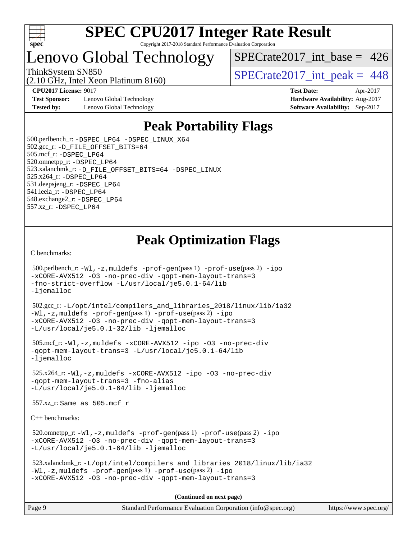

### Lenovo Global Technology

 $SPECrate2017\_int\_base = 426$ 

(2.10 GHz, Intel Xeon Platinum 8160) ThinkSystem SN850<br>  $\angle (2.10 \text{ GHz. Intel Yoon Plotinum } 8160)$   $\angle$  [SPECrate2017\\_int\\_peak =](http://www.spec.org/auto/cpu2017/Docs/result-fields.html#SPECrate2017intpeak) 448

**[Test Sponsor:](http://www.spec.org/auto/cpu2017/Docs/result-fields.html#TestSponsor)** Lenovo Global Technology **[Hardware Availability:](http://www.spec.org/auto/cpu2017/Docs/result-fields.html#HardwareAvailability)** Aug-2017 **[Tested by:](http://www.spec.org/auto/cpu2017/Docs/result-fields.html#Testedby)** Lenovo Global Technology **[Software Availability:](http://www.spec.org/auto/cpu2017/Docs/result-fields.html#SoftwareAvailability)** Sep-2017

**[CPU2017 License:](http://www.spec.org/auto/cpu2017/Docs/result-fields.html#CPU2017License)** 9017 **[Test Date:](http://www.spec.org/auto/cpu2017/Docs/result-fields.html#TestDate)** Apr-2017

### **[Peak Portability Flags](http://www.spec.org/auto/cpu2017/Docs/result-fields.html#PeakPortabilityFlags)**

 500.perlbench\_r: [-DSPEC\\_LP64](http://www.spec.org/cpu2017/results/res2018q2/cpu2017-20180511-05418.flags.html#b500.perlbench_r_peakPORTABILITY_DSPEC_LP64) [-DSPEC\\_LINUX\\_X64](http://www.spec.org/cpu2017/results/res2018q2/cpu2017-20180511-05418.flags.html#b500.perlbench_r_peakCPORTABILITY_DSPEC_LINUX_X64) 502.gcc\_r: [-D\\_FILE\\_OFFSET\\_BITS=64](http://www.spec.org/cpu2017/results/res2018q2/cpu2017-20180511-05418.flags.html#user_peakPORTABILITY502_gcc_r_file_offset_bits_64_5ae949a99b284ddf4e95728d47cb0843d81b2eb0e18bdfe74bbf0f61d0b064f4bda2f10ea5eb90e1dcab0e84dbc592acfc5018bc955c18609f94ddb8d550002c) 505.mcf\_r: [-DSPEC\\_LP64](http://www.spec.org/cpu2017/results/res2018q2/cpu2017-20180511-05418.flags.html#suite_peakPORTABILITY505_mcf_r_DSPEC_LP64) 520.omnetpp\_r: [-DSPEC\\_LP64](http://www.spec.org/cpu2017/results/res2018q2/cpu2017-20180511-05418.flags.html#suite_peakPORTABILITY520_omnetpp_r_DSPEC_LP64) 523.xalancbmk\_r: [-D\\_FILE\\_OFFSET\\_BITS=64](http://www.spec.org/cpu2017/results/res2018q2/cpu2017-20180511-05418.flags.html#user_peakPORTABILITY523_xalancbmk_r_file_offset_bits_64_5ae949a99b284ddf4e95728d47cb0843d81b2eb0e18bdfe74bbf0f61d0b064f4bda2f10ea5eb90e1dcab0e84dbc592acfc5018bc955c18609f94ddb8d550002c) [-DSPEC\\_LINUX](http://www.spec.org/cpu2017/results/res2018q2/cpu2017-20180511-05418.flags.html#b523.xalancbmk_r_peakCXXPORTABILITY_DSPEC_LINUX) 525.x264\_r: [-DSPEC\\_LP64](http://www.spec.org/cpu2017/results/res2018q2/cpu2017-20180511-05418.flags.html#suite_peakPORTABILITY525_x264_r_DSPEC_LP64) 531.deepsjeng\_r: [-DSPEC\\_LP64](http://www.spec.org/cpu2017/results/res2018q2/cpu2017-20180511-05418.flags.html#suite_peakPORTABILITY531_deepsjeng_r_DSPEC_LP64) 541.leela\_r: [-DSPEC\\_LP64](http://www.spec.org/cpu2017/results/res2018q2/cpu2017-20180511-05418.flags.html#suite_peakPORTABILITY541_leela_r_DSPEC_LP64) 548.exchange2\_r: [-DSPEC\\_LP64](http://www.spec.org/cpu2017/results/res2018q2/cpu2017-20180511-05418.flags.html#suite_peakPORTABILITY548_exchange2_r_DSPEC_LP64) 557.xz\_r: [-DSPEC\\_LP64](http://www.spec.org/cpu2017/results/res2018q2/cpu2017-20180511-05418.flags.html#suite_peakPORTABILITY557_xz_r_DSPEC_LP64)

### **[Peak Optimization Flags](http://www.spec.org/auto/cpu2017/Docs/result-fields.html#PeakOptimizationFlags)**

[C benchmarks](http://www.spec.org/auto/cpu2017/Docs/result-fields.html#Cbenchmarks):

```
 500.perlbench_r: -Wl,-z,muldefs -prof-gen(pass 1) -prof-use(pass 2) -ipo
-xCORE-AVX512 -O3 -no-prec-div -qopt-mem-layout-trans=3
-fno-strict-overflow -L/usr/local/je5.0.1-64/lib
-ljemalloc
 502.gcc_r: -L/opt/intel/compilers_and_libraries_2018/linux/lib/ia32
-Wl,-z,muldefs -prof-gen(pass 1) -prof-use(pass 2) -ipo
-xCORE-AVX512 -O3 -no-prec-div -qopt-mem-layout-trans=3
-L/usr/local/je5.0.1-32/lib -ljemalloc
 505.mcf_r: -Wl,-z,muldefs -xCORE-AVX512 -ipo -O3 -no-prec-div
-qopt-mem-layout-trans=3 -L/usr/local/je5.0.1-64/lib
-ljemalloc
 525.x264_r: -Wl,-z,muldefs -xCORE-AVX512 -ipo -O3 -no-prec-div
-qopt-mem-layout-trans=3 -fno-alias
-L/usr/local/je5.0.1-64/lib -ljemalloc
 557.xz_r: Same as 505.mcf_r
C++ benchmarks: 
 520.omnetpp_r: -Wl,-z,muldefs -prof-gen(pass 1) -prof-use(pass 2) -ipo
-xCORE-AVX512 -O3 -no-prec-div -qopt-mem-layout-trans=3
-L/usr/local/je5.0.1-64/lib -ljemalloc
 523.xalancbmk_r: -L/opt/intel/compilers_and_libraries_2018/linux/lib/ia32
-Wl,-z,muldefs -prof-gen(pass 1) -prof-use(pass 2) -ipo
-xCORE-AVX512 -O3 -no-prec-div -qopt-mem-layout-trans=3
                                      (Continued on next page)
```
Page 9 Standard Performance Evaluation Corporation [\(info@spec.org\)](mailto:info@spec.org) <https://www.spec.org/>